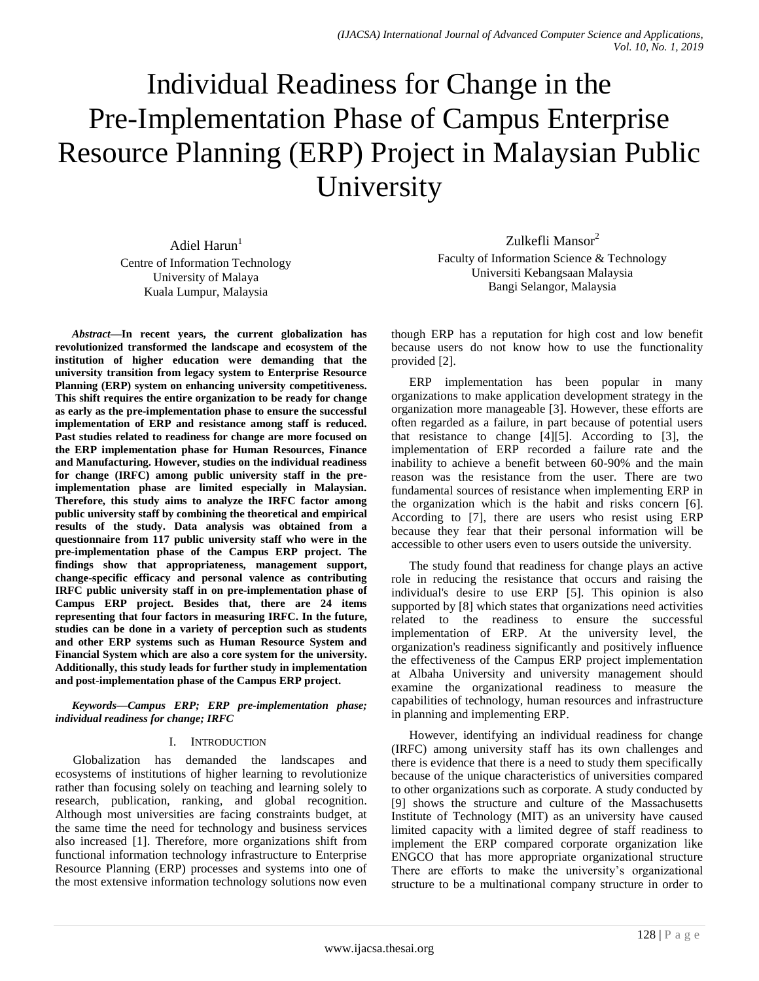# Individual Readiness for Change in the Pre-Implementation Phase of Campus Enterprise Resource Planning (ERP) Project in Malaysian Public University

Adiel Harun $<sup>1</sup>$ </sup> Centre of Information Technology University of Malaya Kuala Lumpur, Malaysia

*Abstract***—In recent years, the current globalization has revolutionized transformed the landscape and ecosystem of the institution of higher education were demanding that the university transition from legacy system to Enterprise Resource Planning (ERP) system on enhancing university competitiveness. This shift requires the entire organization to be ready for change as early as the pre-implementation phase to ensure the successful implementation of ERP and resistance among staff is reduced. Past studies related to readiness for change are more focused on the ERP implementation phase for Human Resources, Finance and Manufacturing. However, studies on the individual readiness for change (IRFC) among public university staff in the preimplementation phase are limited especially in Malaysian. Therefore, this study aims to analyze the IRFC factor among public university staff by combining the theoretical and empirical results of the study. Data analysis was obtained from a questionnaire from 117 public university staff who were in the pre-implementation phase of the Campus ERP project. The findings show that appropriateness, management support, change-specific efficacy and personal valence as contributing IRFC public university staff in on pre-implementation phase of Campus ERP project. Besides that, there are 24 items representing that four factors in measuring IRFC. In the future, studies can be done in a variety of perception such as students and other ERP systems such as Human Resource System and Financial System which are also a core system for the university. Additionally, this study leads for further study in implementation and post-implementation phase of the Campus ERP project.**

*Keywords—Campus ERP; ERP pre-implementation phase; individual readiness for change; IRFC*

## I. INTRODUCTION

Globalization has demanded the landscapes and ecosystems of institutions of higher learning to revolutionize rather than focusing solely on teaching and learning solely to research, publication, ranking, and global recognition. Although most universities are facing constraints budget, at the same time the need for technology and business services also increased [1]. Therefore, more organizations shift from functional information technology infrastructure to Enterprise Resource Planning (ERP) processes and systems into one of the most extensive information technology solutions now even

Zulkefli Mansor<sup>2</sup> Faculty of Information Science & Technology Universiti Kebangsaan Malaysia Bangi Selangor, Malaysia

though ERP has a reputation for high cost and low benefit because users do not know how to use the functionality provided [2].

ERP implementation has been popular in many organizations to make application development strategy in the organization more manageable [3]. However, these efforts are often regarded as a failure, in part because of potential users that resistance to change  $[4][5]$ . According to  $[3]$ , the implementation of ERP recorded a failure rate and the inability to achieve a benefit between 60-90% and the main reason was the resistance from the user. There are two fundamental sources of resistance when implementing ERP in the organization which is the habit and risks concern [6]. According to [7], there are users who resist using ERP because they fear that their personal information will be accessible to other users even to users outside the university.

The study found that readiness for change plays an active role in reducing the resistance that occurs and raising the individual's desire to use ERP [5]. This opinion is also supported by [8] which states that organizations need activities related to the readiness to ensure the successful implementation of ERP. At the university level, the organization's readiness significantly and positively influence the effectiveness of the Campus ERP project implementation at Albaha University and university management should examine the organizational readiness to measure the capabilities of technology, human resources and infrastructure in planning and implementing ERP.

However, identifying an individual readiness for change (IRFC) among university staff has its own challenges and there is evidence that there is a need to study them specifically because of the unique characteristics of universities compared to other organizations such as corporate. A study conducted by [9] shows the structure and culture of the Massachusetts Institute of Technology (MIT) as an university have caused limited capacity with a limited degree of staff readiness to implement the ERP compared corporate organization like ENGCO that has more appropriate organizational structure There are efforts to make the university's organizational structure to be a multinational company structure in order to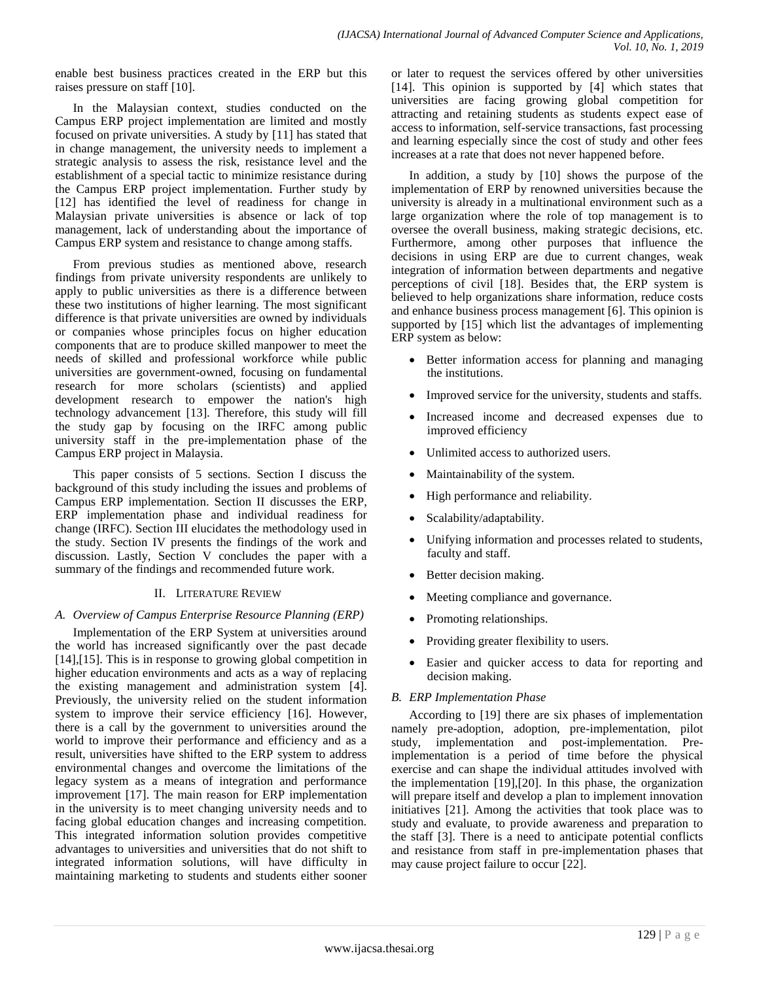enable best business practices created in the ERP but this raises pressure on staff [10].

In the Malaysian context, studies conducted on the Campus ERP project implementation are limited and mostly focused on private universities. A study by [11] has stated that in change management, the university needs to implement a strategic analysis to assess the risk, resistance level and the establishment of a special tactic to minimize resistance during the Campus ERP project implementation. Further study by [12] has identified the level of readiness for change in Malaysian private universities is absence or lack of top management, lack of understanding about the importance of Campus ERP system and resistance to change among staffs.

From previous studies as mentioned above, research findings from private university respondents are unlikely to apply to public universities as there is a difference between these two institutions of higher learning. The most significant difference is that private universities are owned by individuals or companies whose principles focus on higher education components that are to produce skilled manpower to meet the needs of skilled and professional workforce while public universities are government-owned, focusing on fundamental research for more scholars (scientists) and applied development research to empower the nation's high technology advancement [13]. Therefore, this study will fill the study gap by focusing on the IRFC among public university staff in the pre-implementation phase of the Campus ERP project in Malaysia.

This paper consists of 5 sections. Section I discuss the background of this study including the issues and problems of Campus ERP implementation. Section II discusses the ERP, ERP implementation phase and individual readiness for change (IRFC). Section III elucidates the methodology used in the study. Section IV presents the findings of the work and discussion. Lastly, Section V concludes the paper with a summary of the findings and recommended future work.

## II. LITERATURE REVIEW

## *A. Overview of Campus Enterprise Resource Planning (ERP)*

Implementation of the ERP System at universities around the world has increased significantly over the past decade [14],[15]. This is in response to growing global competition in higher education environments and acts as a way of replacing the existing management and administration system [4]. Previously, the university relied on the student information system to improve their service efficiency [16]. However, there is a call by the government to universities around the world to improve their performance and efficiency and as a result, universities have shifted to the ERP system to address environmental changes and overcome the limitations of the legacy system as a means of integration and performance improvement [17]. The main reason for ERP implementation in the university is to meet changing university needs and to facing global education changes and increasing competition. This integrated information solution provides competitive advantages to universities and universities that do not shift to integrated information solutions, will have difficulty in maintaining marketing to students and students either sooner or later to request the services offered by other universities [14]. This opinion is supported by [4] which states that universities are facing growing global competition for attracting and retaining students as students expect ease of access to information, self-service transactions, fast processing and learning especially since the cost of study and other fees increases at a rate that does not never happened before.

In addition, a study by [10] shows the purpose of the implementation of ERP by renowned universities because the university is already in a multinational environment such as a large organization where the role of top management is to oversee the overall business, making strategic decisions, etc. Furthermore, among other purposes that influence the decisions in using ERP are due to current changes, weak integration of information between departments and negative perceptions of civil [18]. Besides that, the ERP system is believed to help organizations share information, reduce costs and enhance business process management [6]. This opinion is supported by [15] which list the advantages of implementing ERP system as below:

- Better information access for planning and managing the institutions.
- Improved service for the university, students and staffs.
- Increased income and decreased expenses due to improved efficiency
- Unlimited access to authorized users.
- Maintainability of the system.
- High performance and reliability.
- Scalability/adaptability.
- Unifying information and processes related to students, faculty and staff.
- Better decision making.
- Meeting compliance and governance.
- Promoting relationships.
- Providing greater flexibility to users.
- Easier and quicker access to data for reporting and decision making.

## *B. ERP Implementation Phase*

According to [19] there are six phases of implementation namely pre-adoption, adoption, pre-implementation, pilot study, implementation and post-implementation. Preimplementation is a period of time before the physical exercise and can shape the individual attitudes involved with the implementation [19],[20]. In this phase, the organization will prepare itself and develop a plan to implement innovation initiatives [21]. Among the activities that took place was to study and evaluate, to provide awareness and preparation to the staff [3]. There is a need to anticipate potential conflicts and resistance from staff in pre-implementation phases that may cause project failure to occur [22].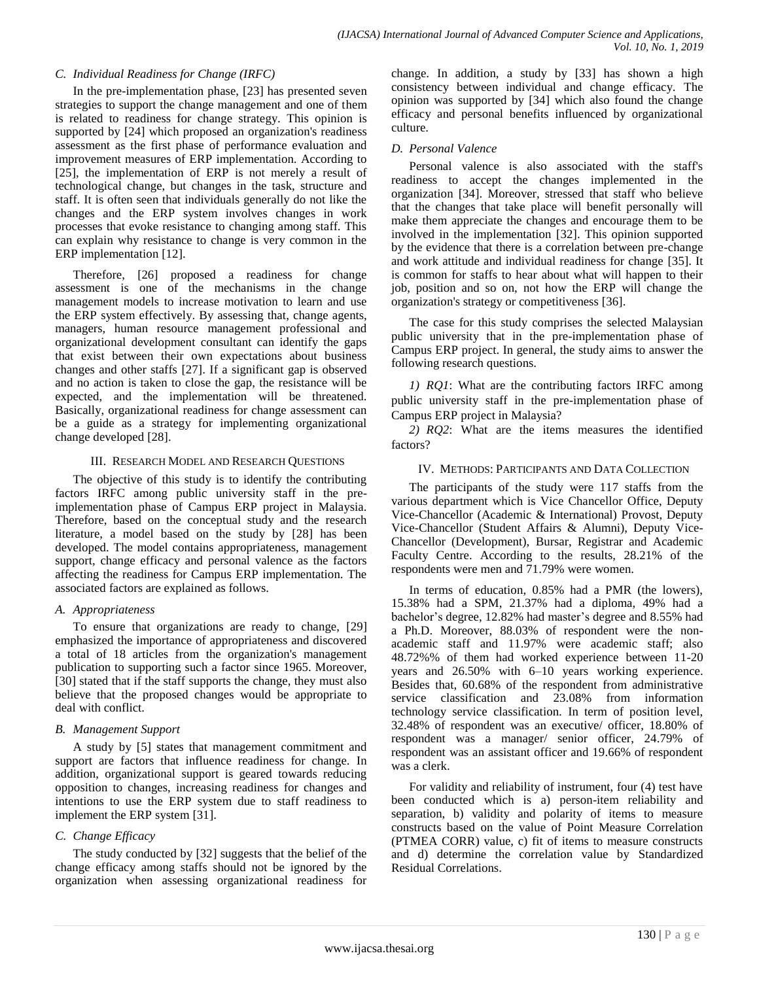### *C. Individual Readiness for Change (IRFC)*

In the pre-implementation phase, [23] has presented seven strategies to support the change management and one of them is related to readiness for change strategy. This opinion is supported by [24] which proposed an organization's readiness assessment as the first phase of performance evaluation and improvement measures of ERP implementation. According to [25], the implementation of ERP is not merely a result of technological change, but changes in the task, structure and staff. It is often seen that individuals generally do not like the changes and the ERP system involves changes in work processes that evoke resistance to changing among staff. This can explain why resistance to change is very common in the ERP implementation [12].

Therefore, [26] proposed a readiness for change assessment is one of the mechanisms in the change management models to increase motivation to learn and use the ERP system effectively. By assessing that, change agents, managers, human resource management professional and organizational development consultant can identify the gaps that exist between their own expectations about business changes and other staffs [27]. If a significant gap is observed and no action is taken to close the gap, the resistance will be expected, and the implementation will be threatened. Basically, organizational readiness for change assessment can be a guide as a strategy for implementing organizational change developed [28].

#### III. RESEARCH MODEL AND RESEARCH QUESTIONS

The objective of this study is to identify the contributing factors IRFC among public university staff in the preimplementation phase of Campus ERP project in Malaysia. Therefore, based on the conceptual study and the research literature, a model based on the study by [28] has been developed. The model contains appropriateness, management support, change efficacy and personal valence as the factors affecting the readiness for Campus ERP implementation. The associated factors are explained as follows.

## *A. Appropriateness*

To ensure that organizations are ready to change, [29] emphasized the importance of appropriateness and discovered a total of 18 articles from the organization's management publication to supporting such a factor since 1965. Moreover, [30] stated that if the staff supports the change, they must also believe that the proposed changes would be appropriate to deal with conflict.

## *B. Management Support*

A study by [5] states that management commitment and support are factors that influence readiness for change. In addition, organizational support is geared towards reducing opposition to changes, increasing readiness for changes and intentions to use the ERP system due to staff readiness to implement the ERP system [31].

## *C. Change Efficacy*

The study conducted by [32] suggests that the belief of the change efficacy among staffs should not be ignored by the organization when assessing organizational readiness for change. In addition, a study by [33] has shown a high consistency between individual and change efficacy. The opinion was supported by [34] which also found the change efficacy and personal benefits influenced by organizational culture.

## *D. Personal Valence*

Personal valence is also associated with the staff's readiness to accept the changes implemented in the organization [34]. Moreover, stressed that staff who believe that the changes that take place will benefit personally will make them appreciate the changes and encourage them to be involved in the implementation [32]. This opinion supported by the evidence that there is a correlation between pre-change and work attitude and individual readiness for change [35]. It is common for staffs to hear about what will happen to their job, position and so on, not how the ERP will change the organization's strategy or competitiveness [36].

The case for this study comprises the selected Malaysian public university that in the pre-implementation phase of Campus ERP project. In general, the study aims to answer the following research questions.

*1) RQ1*: What are the contributing factors IRFC among public university staff in the pre-implementation phase of Campus ERP project in Malaysia?

*2) RQ2*: What are the items measures the identified factors?

#### IV. METHODS: PARTICIPANTS AND DATA COLLECTION

The participants of the study were 117 staffs from the various department which is Vice Chancellor Office, Deputy Vice-Chancellor (Academic & International) Provost, Deputy Vice-Chancellor (Student Affairs & Alumni), Deputy Vice-Chancellor (Development), Bursar, Registrar and Academic Faculty Centre. According to the results, 28.21% of the respondents were men and 71.79% were women.

In terms of education, 0.85% had a PMR (the lowers), 15.38% had a SPM, 21.37% had a diploma, 49% had a bachelor's degree, 12.82% had master's degree and 8.55% had a Ph.D. Moreover, 88.03% of respondent were the nonacademic staff and 11.97% were academic staff; also 48.72%% of them had worked experience between 11-20 years and 26.50% with 6–10 years working experience. Besides that, 60.68% of the respondent from administrative service classification and 23.08% from information technology service classification. In term of position level, 32.48% of respondent was an executive/ officer, 18.80% of respondent was a manager/ senior officer, 24.79% of respondent was an assistant officer and 19.66% of respondent was a clerk.

For validity and reliability of instrument, four (4) test have been conducted which is a) person-item reliability and separation, b) validity and polarity of items to measure constructs based on the value of Point Measure Correlation (PTMEA CORR) value, c) fit of items to measure constructs and d) determine the correlation value by Standardized Residual Correlations.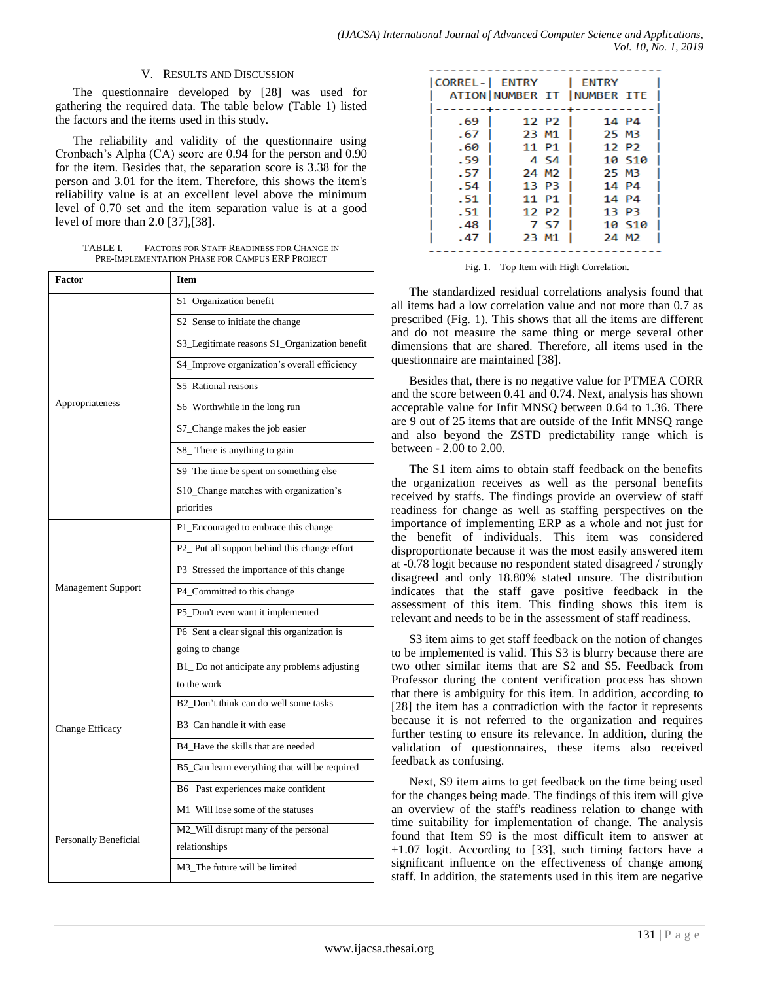#### V. RESULTS AND DISCUSSION

The questionnaire developed by [28] was used for gathering the required data. The table below (Table 1) listed the factors and the items used in this study.

The reliability and validity of the questionnaire using Cronbach's Alpha (CA) score are 0.94 for the person and 0.90 for the item. Besides that, the separation score is 3.38 for the person and 3.01 for the item. Therefore, this shows the item's reliability value is at an excellent level above the minimum level of 0.70 set and the item separation value is at a good level of more than 2.0 [37],[38].

| TABLE L | <b>FACTORS FOR STAFF READINESS FOR CHANGE IN</b> |
|---------|--------------------------------------------------|
|         | PRE-IMPLEMENTATION PHASE FOR CAMPUS ERP PROJECT  |

| Factor                    | Item                                          |  |  |  |  |
|---------------------------|-----------------------------------------------|--|--|--|--|
|                           | S1_Organization benefit                       |  |  |  |  |
|                           | S2_Sense to initiate the change               |  |  |  |  |
|                           | S3_Legitimate reasons S1_Organization benefit |  |  |  |  |
|                           | S4_Improve organization's overall efficiency  |  |  |  |  |
|                           | S5_Rational reasons                           |  |  |  |  |
| Appropriateness           | S6_Worthwhile in the long run                 |  |  |  |  |
|                           | S7_Change makes the job easier                |  |  |  |  |
|                           | S8_There is anything to gain                  |  |  |  |  |
|                           | S9_The time be spent on something else        |  |  |  |  |
|                           | S10_Change matches with organization's        |  |  |  |  |
|                           | priorities                                    |  |  |  |  |
|                           | P1_Encouraged to embrace this change          |  |  |  |  |
|                           | P2_Put all support behind this change effort  |  |  |  |  |
|                           | P3_Stressed the importance of this change     |  |  |  |  |
| <b>Management Support</b> | P4_Committed to this change                   |  |  |  |  |
|                           | P5_Don't even want it implemented             |  |  |  |  |
|                           | P6_Sent a clear signal this organization is   |  |  |  |  |
|                           | going to change                               |  |  |  |  |
|                           | B1_Do not anticipate any problems adjusting   |  |  |  |  |
|                           | to the work                                   |  |  |  |  |
|                           | B2 Don't think can do well some tasks         |  |  |  |  |
| Change Efficacy           | B3_Can handle it with ease                    |  |  |  |  |
|                           | B4_Have the skills that are needed            |  |  |  |  |
|                           | B5_Can learn everything that will be required |  |  |  |  |
|                           | B6_Past experiences make confident            |  |  |  |  |
|                           | M1_Will lose some of the statuses             |  |  |  |  |
|                           | M2_Will disrupt many of the personal          |  |  |  |  |
| Personally Beneficial     | relationships                                 |  |  |  |  |
|                           | M3_The future will be limited                 |  |  |  |  |

| CORREL-  ENTRY |       |                   | <b>ENTRY</b>                |        |
|----------------|-------|-------------------|-----------------------------|--------|
|                |       |                   | ATION NUMBER IT INUMBER ITE |        |
|                |       |                   |                             |        |
| - 69           |       | 12 P <sub>2</sub> | 14 P4                       |        |
| - 67           | 23 M1 |                   | <b>25 MB</b>                |        |
| - 60           |       | 11 P1             |                             | 12 P2  |
| . 59           |       | 4 S <sub>4</sub>  |                             | 10 510 |
| . 57           | 24 M2 |                   | 25 MB                       |        |
| . 54           | 13 P3 |                   |                             | 14 P4  |
| . 51           | 11 P1 |                   |                             | 14 P4  |
| - 51           |       | 12 P <sub>2</sub> | 13 P3                       |        |
| .48            |       | -7. SZ            |                             | 10 510 |
| . 47           | 23 M1 |                   |                             | 24 M2  |
|                |       |                   |                             |        |

Fig. 1. Top Item with High *C*orrelation.

The standardized residual correlations analysis found that all items had a low correlation value and not more than 0.7 as prescribed (Fig. 1). This shows that all the items are different and do not measure the same thing or merge several other dimensions that are shared. Therefore, all items used in the questionnaire are maintained [38].

Besides that, there is no negative value for PTMEA CORR and the score between 0.41 and 0.74. Next, analysis has shown acceptable value for Infit MNSQ between 0.64 to 1.36. There are 9 out of 25 items that are outside of the Infit MNSQ range and also beyond the ZSTD predictability range which is between - 2.00 to 2.00.

The S1 item aims to obtain staff feedback on the benefits the organization receives as well as the personal benefits received by staffs. The findings provide an overview of staff readiness for change as well as staffing perspectives on the importance of implementing ERP as a whole and not just for the benefit of individuals. This item was considered disproportionate because it was the most easily answered item at -0.78 logit because no respondent stated disagreed / strongly disagreed and only 18.80% stated unsure. The distribution indicates that the staff gave positive feedback in the assessment of this item. This finding shows this item is relevant and needs to be in the assessment of staff readiness.

S3 item aims to get staff feedback on the notion of changes to be implemented is valid. This S3 is blurry because there are two other similar items that are S2 and S5. Feedback from Professor during the content verification process has shown that there is ambiguity for this item. In addition, according to [28] the item has a contradiction with the factor it represents because it is not referred to the organization and requires further testing to ensure its relevance. In addition, during the validation of questionnaires, these items also received feedback as confusing.

Next, S9 item aims to get feedback on the time being used for the changes being made. The findings of this item will give an overview of the staff's readiness relation to change with time suitability for implementation of change. The analysis found that Item S9 is the most difficult item to answer at +1.07 logit. According to [33], such timing factors have a significant influence on the effectiveness of change among staff. In addition, the statements used in this item are negative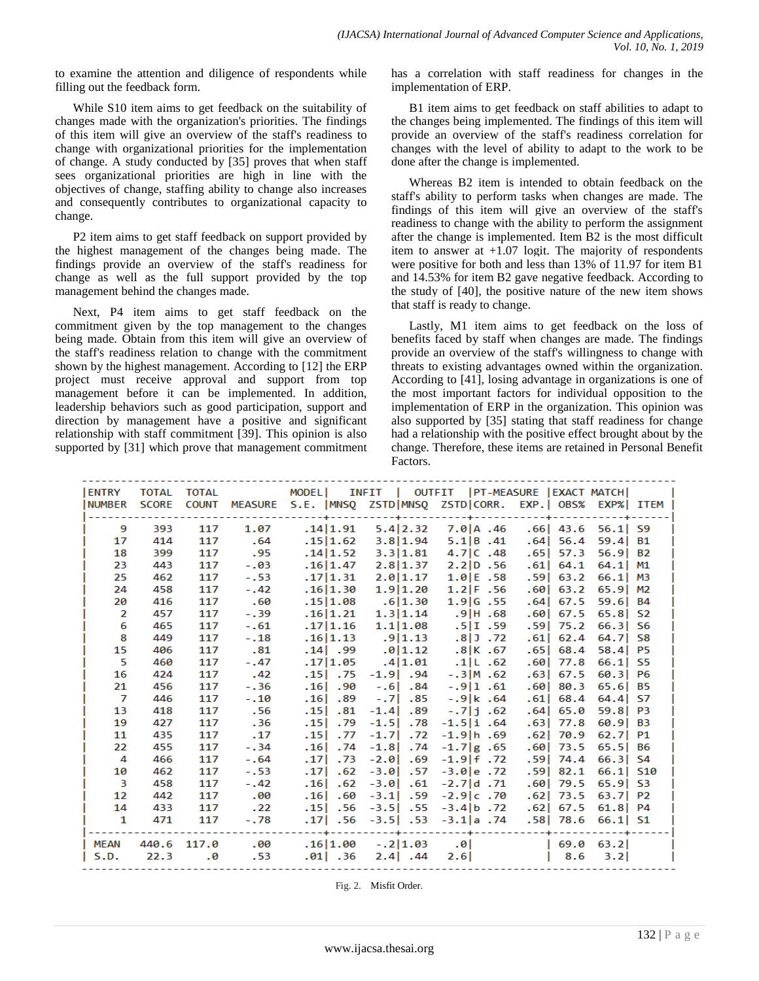to examine the attention and diligence of respondents while filling out the feedback form.

While S10 item aims to get feedback on the suitability of changes made with the organization's priorities. The findings of this item will give an overview of the staff's readiness to change with organizational priorities for the implementation of change. A study conducted by [35] proves that when staff sees organizational priorities are high in line with the objectives of change, staffing ability to change also increases and consequently contributes to organizational capacity to change.

P2 item aims to get staff feedback on support provided by the highest management of the changes being made. The findings provide an overview of the staff's readiness for change as well as the full support provided by the top management behind the changes made.

Next, P4 item aims to get staff feedback on the commitment given by the top management to the changes being made. Obtain from this item will give an overview of the staff's readiness relation to change with the commitment shown by the highest management. According to [12] the ERP project must receive approval and support from top management before it can be implemented. In addition, leadership behaviors such as good participation, support and direction by management have a positive and significant relationship with staff commitment [39]. This opinion is also supported by [31] which prove that management commitment has a correlation with staff readiness for changes in the implementation of ERP.

B1 item aims to get feedback on staff abilities to adapt to the changes being implemented. The findings of this item will provide an overview of the staff's readiness correlation for changes with the level of ability to adapt to the work to be done after the change is implemented.

Whereas B2 item is intended to obtain feedback on the staff's ability to perform tasks when changes are made. The findings of this item will give an overview of the staff's readiness to change with the ability to perform the assignment after the change is implemented. Item B2 is the most difficult item to answer at  $+1.07$  logit. The majority of respondents were positive for both and less than 13% of 11.97 for item B1 and 14.53% for item B2 gave negative feedback. According to the study of [40], the positive nature of the new item shows that staff is ready to change.

Lastly, M1 item aims to get feedback on the loss of benefits faced by staff when changes are made. The findings provide an overview of the staff's willingness to change with threats to existing advantages owned within the organization. According to [41], losing advantage in organizations is one of the most important factors for individual opposition to the implementation of ERP in the organization. This opinion was also supported by [35] stating that staff readiness for change had a relationship with the positive effect brought about by the change. Therefore, these items are retained in Personal Benefit Factors.

| <b>LENTRY</b>           | <b>TOTAL</b> | <b>TOTAL</b> |                 |                         |                       | MODEL  INFIT   OUTFIT   PT-MEASURE   EXACT MATCH                   |                       |                |  |
|-------------------------|--------------|--------------|-----------------|-------------------------|-----------------------|--------------------------------------------------------------------|-----------------------|----------------|--|
| <b>NUMBER</b>           | <b>SCORE</b> | <b>COUNT</b> |                 |                         |                       | MEASURE S.E.   MNSQ ZSTD  MNSQ ZSTD  CORR. EXP.   OBS% EXP%   ITEM |                       |                |  |
|                         |              |              |                 |                         |                       |                                                                    |                       |                |  |
| 9                       | 393          | 117          | 1.07            | .14 1.91                | 5.4 2.32              | 7.0 A.46                                                           | $.66$ 43.6 56.1 S9    |                |  |
| 17                      | 414          | 117          | .64             | .1511.62                | 3.8 1.94              | $5.1$ $B.41$                                                       | .64 56.4              | $59.4$ B1      |  |
| 18                      | 399          | 117          | .95             | .14 1.52                | 3.3 1.81              | $4.7$   $C$ $.48$                                                  | $.65$ 57.3            | $56.9$ B2      |  |
| 23                      | 443          | 117          | $-.03$          | .16 1.47                | 2.8 1.37              | 2.2 D.56                                                           | $.61 $ 64.1           | $64.1$ M1      |  |
| 25                      | 462          | 117          | $-.53$          | .17 1.31                | 2.0 1.17              | 1.0 E.58                                                           | $.59$   63.2          | $66.1$ M3      |  |
| 24                      | 458          | 117          | $-.42$          | .16 1.30                | 1.9 1.20              | $1.2$ F $.56$                                                      | .60  63.2             | $65.9$ M2      |  |
| 20                      | 416          | 117          | .60             |                         | $.15 1.08$ $.6 1.30$  | 1.9 G.55                                                           | $.64$ 67.5 59.6 B4    |                |  |
| 2                       | 457          | 117          | $-.39$          | .16 1.21                | 1.3 1.14              | $.9$ IH $.68$                                                      | .60 67.5              | $65.8$   S2    |  |
| 6                       | 465          | 117          | $-.61$          | .17 1.16                | 1.1 1.08              | .5 I.59                                                            | $.59$ 75.2            | $66.3$ S6      |  |
| 8                       | 449          | 117          | $-.18$          | .16 1.13                | .9 1.13               | $.8$   J $.72$                                                     | .61  62.4             | $64.7$ S8      |  |
| 15                      | 406          | 117          | .81             |                         | $.14$   .99 .0   1.12 | .8 K .67                                                           | $.65$ 68.4            | $58.4$ P5      |  |
| 5                       | 460          | 117          | $-.47$          | .17 1.05                | .4 1.01               | .1 L.62                                                            | .60 77.8              | $66.1$ S5      |  |
| 16                      | 424          | 117          | .42             | .15 .75                 | $-1.9$ .94            | $-.3$ M $.62$                                                      | $.63$ 67.5 60.3 P6    |                |  |
| 21                      | 456          | 117          | $-.36$          | 90. ا16.                | $-.6$ .84             | $-.9 1$ .61                                                        | .60 80.3              | 65.6 B5        |  |
| 7                       | 446          | 117          | $-.10$          | .16 .89                 | $-.71$ .85            | $-.9 k$ .64                                                        | $.61$   68.4          | $64.4$ S7      |  |
| 13                      | 418          | 117          | .56             | $.15$ . 81              | $-1.4$ .89            | $-.7 $ j $.62$                                                     | .64 65.0              | $59.8$   P3    |  |
| 19                      | 427          | 117          | .36             | .15 .79                 | $-1.5$ .78            | $-1.5$  i.64                                                       | .63 77.8              | $60.9$ B3      |  |
| 11                      | 435          | 117          | .17             | .15 .77                 | $-1.7$ .72            | $-1.9$  h.69                                                       | $.62$ 70.9            | $62.7$ P1      |  |
| 22                      | 455          | 117          | $-.34$          | $.16$ . 74              | $-1.8$ .74            | $-1.7$ g . 65                                                      | $.60$   73.5 65.5  B6 |                |  |
| 4                       | 466          | 117          | $-0.64$         | .17 <sub>1</sub><br>.73 | $-2.0$ . 69           | $-1.9$ f.72                                                        | $.59$ 74.4            | $66.3$ S4      |  |
| 10                      | 462          | 117          | $-.53$          | .171<br>.62             | $-3.0$<br>.57         | $-3.0$ e.72                                                        | $.59$ 82.1            | $66.1$   $510$ |  |
| $\overline{\mathbf{3}}$ | 458          | 117          | $-.42$          | .16 .62                 | $-3.0$ . $61$         | $-2.7$ d. 71                                                       | .60 79.5              | $65.9$ S3      |  |
| 12                      | 442          | 117          | .00             | .16 .60                 | $-3.1$ . 59           | $-2.9c.70$                                                         | $.62$ 73.5            | $63.7$ P2      |  |
| 14                      | 433          | 117          | $\overline{22}$ | .15 .56                 | $-3.5$ $-55$          | $-3.4$ b. 72                                                       | $.62$ 67.5            | $61.8$ P4      |  |
| 1                       | 471          | 117          | $-.78$          |                         |                       | .17. 3.1   3.5.   3.5.   53.   17.                                 | $.58$ 78.6 66.1 S1    |                |  |
|                         |              |              |                 |                         |                       |                                                                    |                       |                |  |
| <b>MEAN</b>             | 440.6        | 117.0        | .00             | .16 1.00                | $-.2 1.03$            | .01                                                                | 69.0                  | 63.2           |  |
| S.D.                    | 22.3         | - 0          | .53             | .01 .36                 | $2.4$ .44             | 2.6                                                                | 8.6                   | 3.2            |  |

Fig. 2. Misfit Order.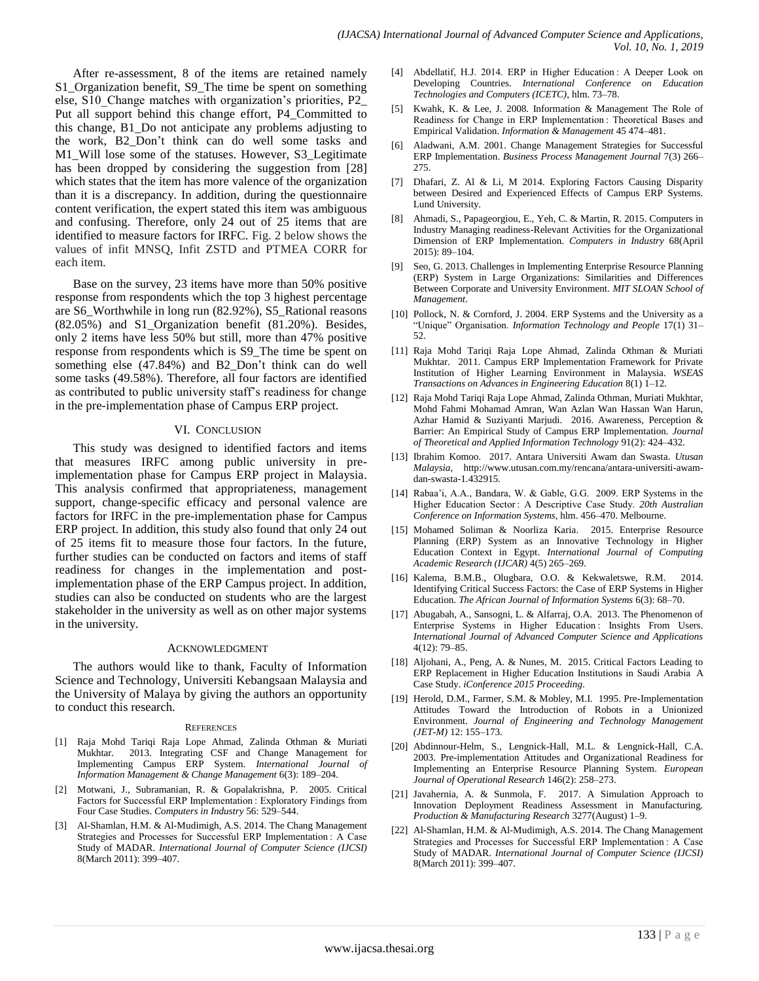After re-assessment, 8 of the items are retained namely S1 Organization benefit, S9 The time be spent on something else, S10\_Change matches with organization's priorities, P2\_ Put all support behind this change effort, P4\_Committed to this change, B1\_Do not anticipate any problems adjusting to the work, B2\_Don't think can do well some tasks and M1\_Will lose some of the statuses. However, S3\_Legitimate has been dropped by considering the suggestion from [28] which states that the item has more valence of the organization than it is a discrepancy. In addition, during the questionnaire content verification, the expert stated this item was ambiguous and confusing. Therefore, only 24 out of 25 items that are identified to measure factors for IRFC. Fig. 2 below shows the values of infit MNSQ, Infit ZSTD and PTMEA CORR for each item.

Base on the survey, 23 items have more than 50% positive response from respondents which the top 3 highest percentage are S6\_Worthwhile in long run (82.92%), S5\_Rational reasons (82.05%) and S1\_Organization benefit (81.20%). Besides, only 2 items have less 50% but still, more than 47% positive response from respondents which is S9\_The time be spent on something else (47.84%) and B2\_Don't think can do well some tasks (49.58%). Therefore, all four factors are identified as contributed to public university staff's readiness for change in the pre-implementation phase of Campus ERP project.

# VI. CONCLUSION

This study was designed to identified factors and items that measures IRFC among public university in preimplementation phase for Campus ERP project in Malaysia. This analysis confirmed that appropriateness, management support, change-specific efficacy and personal valence are factors for IRFC in the pre-implementation phase for Campus ERP project. In addition, this study also found that only 24 out of 25 items fit to measure those four factors. In the future, further studies can be conducted on factors and items of staff readiness for changes in the implementation and postimplementation phase of the ERP Campus project. In addition, studies can also be conducted on students who are the largest stakeholder in the university as well as on other major systems in the university.

## ACKNOWLEDGMENT

The authors would like to thank, Faculty of Information Science and Technology, Universiti Kebangsaan Malaysia and the University of Malaya by giving the authors an opportunity to conduct this research.

#### **REFERENCES**

- [1] Raja Mohd Tariqi Raja Lope Ahmad, Zalinda Othman & Muriati Mukhtar. 2013. Integrating CSF and Change Management for Implementing Campus ERP System. *International Journal of Information Management & Change Management* 6(3): 189–204.
- [2] Motwani, J., Subramanian, R. & Gopalakrishna, P. 2005. Critical Factors for Successful ERP Implementation : Exploratory Findings from Four Case Studies. *Computers in Industry* 56: 529–544.
- [3] Al-Shamlan, H.M. & Al-Mudimigh, A.S. 2014. The Chang Management Strategies and Processes for Successful ERP Implementation : A Case Study of MADAR. *International Journal of Computer Science (IJCSI)* 8(March 2011): 399–407.
- [4] Abdellatif, H.J. 2014. ERP in Higher Education: A Deeper Look on Developing Countries. *International Conference on Education Technologies and Computers (ICETC)*, hlm. 73–78.
- [5] Kwahk, K. & Lee, J. 2008. Information & Management The Role of Readiness for Change in ERP Implementation : Theoretical Bases and Empirical Validation. *Information & Management* 45 474–481.
- [6] Aladwani, A.M. 2001. Change Management Strategies for Successful ERP Implementation. *Business Process Management Journal* 7(3) 266– 275.
- [7] Dhafari, Z. Al & Li, M 2014. Exploring Factors Causing Disparity between Desired and Experienced Effects of Campus ERP Systems. Lund University.
- [8] Ahmadi, S., Papageorgiou, E., Yeh, C. & Martin, R. 2015. Computers in Industry Managing readiness-Relevant Activities for the Organizational Dimension of ERP Implementation. *Computers in Industry* 68(April 2015): 89–104.
- [9] Seo, G. 2013. Challenges in Implementing Enterprise Resource Planning (ERP) System in Large Organizations: Similarities and Differences Between Corporate and University Environment. *MIT SLOAN School of Management*.
- [10] Pollock, N. & Cornford, J. 2004. ERP Systems and the University as a "Unique" Organisation. *Information Technology and People* 17(1) 31– 52.
- [11] Raja Mohd Tariqi Raja Lope Ahmad, Zalinda Othman & Muriati Mukhtar. 2011. Campus ERP Implementation Framework for Private Institution of Higher Learning Environment in Malaysia. *WSEAS Transactions on Advances in Engineering Education* 8(1) 1–12.
- [12] Raja Mohd Tariqi Raja Lope Ahmad, Zalinda Othman, Muriati Mukhtar, Mohd Fahmi Mohamad Amran, Wan Azlan Wan Hassan Wan Harun, Azhar Hamid & Suziyanti Marjudi. 2016. Awareness, Perception & Barrier: An Empirical Study of Campus ERP Implementation. *Journal of Theoretical and Applied Information Technology* 91(2): 424–432.
- [13] Ibrahim Komoo. 2017. Antara Universiti Awam dan Swasta. *Utusan Malaysia*, http://www.utusan.com.my/rencana/antara-universiti-awamdan-swasta-1.432915.
- [14] Rabaa'i, A.A., Bandara, W. & Gable, G.G. 2009. ERP Systems in the Higher Education Sector : A Descriptive Case Study. *20th Australian Conference on Information Systems*, hlm. 456–470. Melbourne.
- [15] Mohamed Soliman & Noorliza Karia. 2015. Enterprise Resource Planning (ERP) System as an Innovative Technology in Higher Education Context in Egypt. *International Journal of Computing Academic Research (IJCAR)* 4(5) 265–269.
- [16] Kalema, B.M.B., Olugbara, O.O. & Kekwaletswe, R.M. 2014. Identifying Critical Success Factors: the Case of ERP Systems in Higher Education. *The African Journal of Information Systems* 6(3): 68–70.
- [17] Abugabah, A., Sansogni, L. & Alfarraj, O.A. 2013. The Phenomenon of Enterprise Systems in Higher Education: Insights From Users. *International Journal of Advanced Computer Science and Applications* 4(12): 79–85.
- [18] Aljohani, A., Peng, A. & Nunes, M. 2015. Critical Factors Leading to ERP Replacement in Higher Education Institutions in Saudi Arabia  A Case Study. *iConference 2015 Proceeding*.
- [19] Herold, D.M., Farmer, S.M. & Mobley, M.I. 1995. Pre-Implementation Attitudes Toward the Introduction of Robots in a Unionized Environment. *Journal of Engineering and Technology Management (JET-M)* 12: 155–173.
- [20] Abdinnour-Helm, S., Lengnick-Hall, M.L. & Lengnick-Hall, C.A. 2003. Pre-implementation Attitudes and Organizational Readiness for Implementing an Enterprise Resource Planning System. *European Journal of Operational Research* 146(2): 258–273.
- [21] Javahernia, A. & Sunmola, F. 2017. A Simulation Approach to Innovation Deployment Readiness Assessment in Manufacturing. *Production & Manufacturing Research* 3277(August) 1–9.
- [22] Al-Shamlan, H.M. & Al-Mudimigh, A.S. 2014. The Chang Management Strategies and Processes for Successful ERP Implementation : A Case Study of MADAR. *International Journal of Computer Science (IJCSI)* 8(March 2011): 399–407.